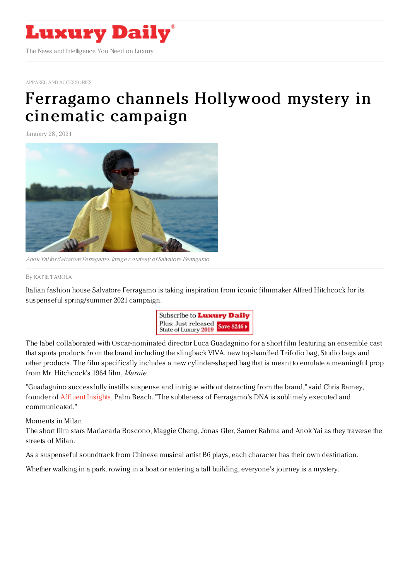

APPAREL AND [ACCESSORIES](https://www.luxurydaily.com/category/sectors/apparel-and-accessories/)

## Ferragamo channels [Hollywood](https://www.luxurydaily.com/salvatore-ferragamo-channels-hollywood-mystery-in-new-campaign/) mystery in cinematic campaign

January 28, 2021



Anok Yai for Salvatore Ferragamo. Image courtesy of Salvatore Ferragamo

By KAT IE [TAMOLA](file:///author/katie-tamola)

Italian fashion house Salvatore Ferragamo is taking inspiration from iconic filmmaker Alfred Hitchcock for its suspenseful spring/summer 2021 campaign.



The label collaborated with Oscar-nominated director Luca Guadagnino for a short film featuring an ensemble cast that sports products from the brand including the slingback VIVA, new top-handled Trifolio bag, Studio bags and other products. The film specifically includes a new cylinder-shaped bag that is meant to emulate a meaningful prop from Mr. Hitchcock's 1964 film, Marnie.

"Guadagnino successfully instills suspense and intrigue without detracting from the brand," said Chris Ramey, founder of [Affluent](http://www.affluentinsights.com/) Insights, Palm Beach. "The subtleness of Ferragamo's DNA is sublimely executed and communicated."

Moments in Milan

The short film stars Mariacarla Boscono, Maggie Cheng, Jonas Gler, Samer Rahma and Anok Yai as they traverse the streets of Milan.

As a suspenseful soundtrack from Chinese musical artist B6 plays, each character has their own destination.

Whether walking in a park, rowing in a boat or entering a tall building, everyone's journey is a mystery.